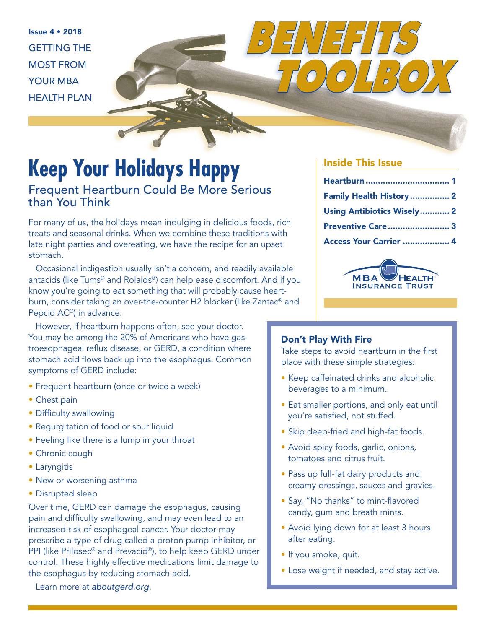Issue 4 • 2018 GETTING THE MOST FROM YOUR MBA HEALTH PLAN

# **Keep Your Holidays Happy**

Frequent Heartburn Could Be More Serious than You Think

For many of us, the holidays mean indulging in delicious foods, rich treats and seasonal drinks. When we combine these traditions with late night parties and overeating, we have the recipe for an upset stomach.

Occasional indigestion usually isn't a concern, and readily available antacids (like Tums® and Rolaids®) can help ease discomfort. And if you know you're going to eat something that will probably cause heartburn, consider taking an over-the-counter H2 blocker (like Zantac® and Pepcid AC®) in advance.

However, if heartburn happens often, see your doctor. You may be among the 20% of Americans who have gastroesophageal reflux disease, or GERD, a condition where stomach acid flows back up into the esophagus. Common symptoms of GERD include:

- Frequent heartburn (once or twice a week)
- Chest pain
- Difficulty swallowing
- Regurgitation of food or sour liquid
- Feeling like there is a lump in your throat
- Chronic cough
- Laryngitis
- New or worsening asthma
- Disrupted sleep

Over time, GERD can damage the esophagus, causing pain and difficulty swallowing, and may even lead to an increased risk of esophageal cancer. Your doctor may prescribe a type of drug called a proton pump inhibitor, or PPI (like Prilosec® and Prevacid®), to help keep GERD under control. These highly effective medications limit damage to the esophagus by reducing stomach acid.

#### Learn more at *[aboutgerd.org.](http://aboutgerd.org)*

#### Inside This Issue

| Family Health History 2    |  |
|----------------------------|--|
| Using Antibiotics Wisely 2 |  |
| Preventive Care 3          |  |
| Access Your Carrier  4     |  |

*TOOLBOX*



#### Don't Play With Fire

*BENEFITS*

Take steps to avoid heartburn in the first place with these simple strategies:

- Keep caffeinated drinks and alcoholic beverages to a minimum.
- Eat smaller portions, and only eat until you're satisfied, not stuffed.
- Skip deep-fried and high-fat foods.
- Avoid spicy foods, garlic, onions, tomatoes and citrus fruit.
- Pass up full-fat dairy products and creamy dressings, sauces and gravies.
- Say, "No thanks" to mint-flavored candy, gum and breath mints.
- Avoid lying down for at least 3 hours after eating.
- If you smoke, quit.
- Lose weight if needed, and stay active.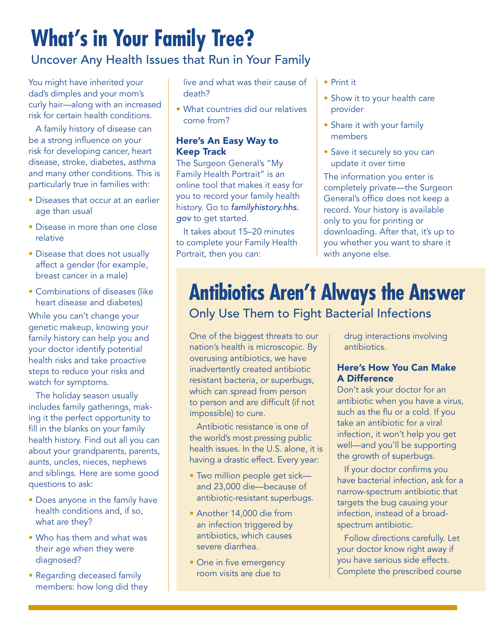# **What's in Your Family Tree?**

### Uncover Any Health Issues that Run in Your Family

You might have inherited your dad's dimples and your mom's curly hair—along with an increased risk for certain health conditions.

A family history of disease can be a strong influence on your risk for developing cancer, heart disease, stroke, diabetes, asthma and many other conditions. This is particularly true in families with:

- Diseases that occur at an earlier age than usual
- Disease in more than one close relative
- Disease that does not usually affect a gender (for example, breast cancer in a male)
- Combinations of diseases (like heart disease and diabetes)

While you can't change your genetic makeup, knowing your family history can help you and your doctor identify potential health risks and take proactive steps to reduce your risks and watch for symptoms.

The holiday season usually includes family gatherings, making it the perfect opportunity to fill in the blanks on your family health history. Find out all you can about your grandparents, parents, aunts, uncles, nieces, nephews and siblings. Here are some good questions to ask:

- Does anyone in the family have health conditions and, if so, what are they?
- Who has them and what was their age when they were diagnosed?
- Regarding deceased family members: how long did they

live and what was their cause of death?

• What countries did our relatives come from?

#### Here's An Easy Way to Keep Track

The Surgeon General's "My Family Health Portrait" is an online tool that makes it easy for you to record your family health history. Go to *[familyhistory.hhs.](http://familyhistory.hhs.gov) [gov](http://familyhistory.hhs.gov)* to get started.

It takes about 15–20 minutes to complete your Family Health Portrait, then you can:

- Print it
- Show it to your health care provider
- Share it with your family members
- Save it securely so you can update it over time

The information you enter is completely private—the Surgeon General's office does not keep a record. Your history is available only to you for printing or downloading. After that, it's up to you whether you want to share it with anyone else.

### **Antibiotics Aren't Always the Answer**  Only Use Them to Fight Bacterial Infections

One of the biggest threats to our nation's health is microscopic. By overusing antibiotics, we have inadvertently created antibiotic resistant bacteria, or superbugs, which can spread from person to person and are difficult (if not impossible) to cure.

Antibiotic resistance is one of the world's most pressing public health issues. In the U.S. alone, it is having a drastic effect. Every year:

- Two million people get sick and 23,000 die—because of antibiotic-resistant superbugs.
- Another 14,000 die from an infection triggered by antibiotics, which causes severe diarrhea.
- One in five emergency room visits are due to

drug interactions involving antibiotics.

#### Here's How You Can Make A Difference

Don't ask your doctor for an antibiotic when you have a virus, such as the flu or a cold. If you take an antibiotic for a viral infection, it won't help you get well—and you'll be supporting the growth of superbugs.

If your doctor confirms you have bacterial infection, ask for a narrow-spectrum antibiotic that targets the bug causing your infection, instead of a broadspectrum antibiotic.

Follow directions carefully. Let your doctor know right away if you have serious side effects. Complete the prescribed course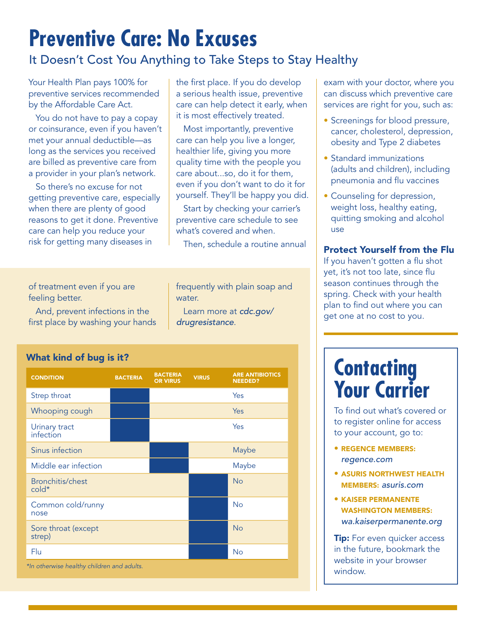# **Preventive Care: No Excuses**

### It Doesn't Cost You Anything to Take Steps to Stay Healthy

Your Health Plan pays 100% for preventive services recommended by the Affordable Care Act.

You do not have to pay a copay or coinsurance, even if you haven't met your annual deductible—as long as the services you received are billed as preventive care from a provider in your plan's network.

So there's no excuse for not getting preventive care, especially when there are plenty of good reasons to get it done. Preventive care can help you reduce your risk for getting many diseases in

the first place. If you do develop a serious health issue, preventive care can help detect it early, when it is most effectively treated.

Most importantly, preventive care can help you live a longer, healthier life, giving you more quality time with the people you care about...so, do it for them, even if you don't want to do it for yourself. They'll be happy you did.

Start by checking your carrier's preventive care schedule to see what's covered and when.

Then, schedule a routine annual

of treatment even if you are feeling better.

And, prevent infections in the first place by washing your hands frequently with plain soap and water.

Learn more at *[cdc.gov/](http://cdc.gov/drugresistance) [drugresistance](http://cdc.gov/drugresistance)*.

What kind of bug is it?

| <b>CONDITION</b>                           | <b>BACTERIA</b> | <b>BACTERIA</b><br><b>OR VIRUS</b> | <b>VIRUS</b> | <b>ARE ANTIBIOTICS</b><br><b>NEEDED?</b> |
|--------------------------------------------|-----------------|------------------------------------|--------------|------------------------------------------|
| Strep throat                               |                 |                                    |              | Yes                                      |
| Whooping cough                             |                 |                                    |              | Yes                                      |
| Urinary tract<br>infection                 |                 |                                    |              | Yes                                      |
| Sinus infection                            |                 |                                    |              | Maybe                                    |
| Middle ear infection                       |                 |                                    |              | Maybe                                    |
| Bronchitis/chest<br>cold*                  |                 |                                    |              | <b>No</b>                                |
| Common cold/runny<br>nose                  |                 |                                    |              | <b>No</b>                                |
| Sore throat (except<br>strep)              |                 |                                    |              | <b>No</b>                                |
| Flu                                        |                 |                                    |              | <b>No</b>                                |
| *In otherwise healthy children and adults. |                 |                                    |              |                                          |

exam with your doctor, where you can discuss which preventive care services are right for you, such as:

- Screenings for blood pressure, cancer, cholesterol, depression, obesity and Type 2 diabetes
- Standard immunizations (adults and children), including pneumonia and flu vaccines
- Counseling for depression, weight loss, healthy eating, quitting smoking and alcohol use

#### Protect Yourself from the Flu

If you haven't gotten a flu shot yet, it's not too late, since flu season continues through the spring. Check with your health plan to find out where you can get one at no cost to you.

### **Contacting Your Carrier**

To find out what's covered or to register online for access to your account, go to:

- REGENCE MEMBERS: *[regence.com](http://www.regence.com)*
- ASURIS NORTHWEST HEALTH MEMBERS: *[asuris.com](http://www.asuris.com)*
- KAISER PERMANENTE WASHINGTON MEMBERS: *[wa.kaiserpermanente.org](http://wa.kaiserpermanente.org)*

**Tip:** For even quicker access in the future, bookmark the website in your browser window.